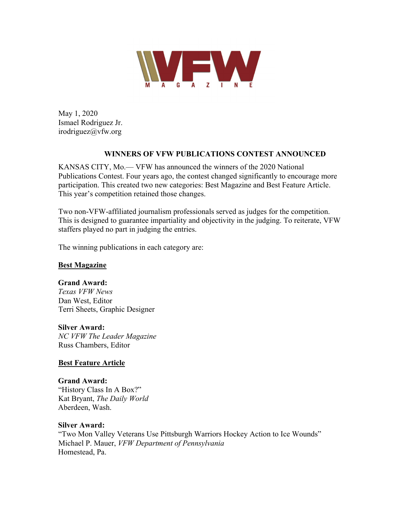

May 1, 2020 Ismael Rodriguez Jr. irodriguez@vfw.org

### **WINNERS OF VFW PUBLICATIONS CONTEST ANNOUNCED**

KANSAS CITY, Mo.— VFW has announced the winners of the 2020 National Publications Contest. Four years ago, the contest changed significantly to encourage more participation. This created two new categories: Best Magazine and Best Feature Article. This year's competition retained those changes.

Two non-VFW-affiliated journalism professionals served as judges for the competition. This is designed to guarantee impartiality and objectivity in the judging. To reiterate, VFW staffers played no part in judging the entries.

The winning publications in each category are:

## **Best Magazine**

#### **Grand Award:**

*Texas VFW News* Dan West, Editor Terri Sheets, Graphic Designer

#### **Silver Award:**

*NC VFW The Leader Magazine* Russ Chambers, Editor

## **Best Feature Article**

**Grand Award:** "History Class In A Box?" Kat Bryant, *The Daily World* Aberdeen, Wash.

## **Silver Award:**

"Two Mon Valley Veterans Use Pittsburgh Warriors Hockey Action to Ice Wounds" Michael P. Mauer, *VFW Department of Pennsylvania*  Homestead, Pa.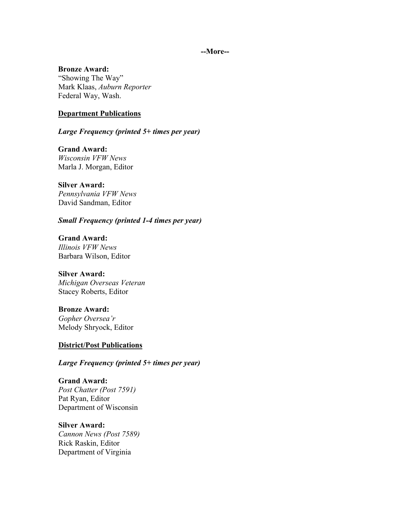#### **--More--**

#### **Bronze Award:**

"Showing The Way" Mark Klaas, *Auburn Reporter* Federal Way, Wash.

#### **Department Publications**

*Large Frequency (printed 5+ times per year)*

**Grand Award:** *Wisconsin VFW News* Marla J. Morgan, Editor

#### **Silver Award:**

*Pennsylvania VFW News* David Sandman, Editor

#### *Small Frequency (printed 1-4 times per year)*

**Grand Award:** *Illinois VFW News* Barbara Wilson, Editor

### **Silver Award:**

*Michigan Overseas Veteran* Stacey Roberts, Editor

**Bronze Award:** *Gopher Oversea'r*

# **District/Post Publications**

Melody Shryock, Editor

*Large Frequency (printed 5+ times per year)*

**Grand Award:** *Post Chatter (Post 7591)* Pat Ryan, Editor Department of Wisconsin

**Silver Award:**

*Cannon News (Post 7589)* Rick Raskin, Editor Department of Virginia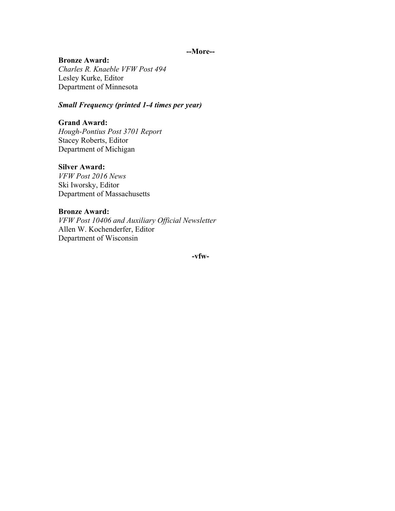#### **--More--**

#### **Bronze Award:**

*Charles R. Knaeble VFW Post 494* Lesley Kurke, Editor Department of Minnesota

## *Small Frequency (printed 1-4 times per year)*

#### **Grand Award:**

*Hough-Pontius Post 3701 Report* Stacey Roberts, Editor Department of Michigan

#### **Silver Award:**

*VFW Post 2016 News* Ski Iworsky, Editor Department of Massachusetts

#### **Bronze Award:**

*VFW Post 10406 and Auxiliary Official Newsletter* Allen W. Kochenderfer, Editor Department of Wisconsin

**-vfw-**